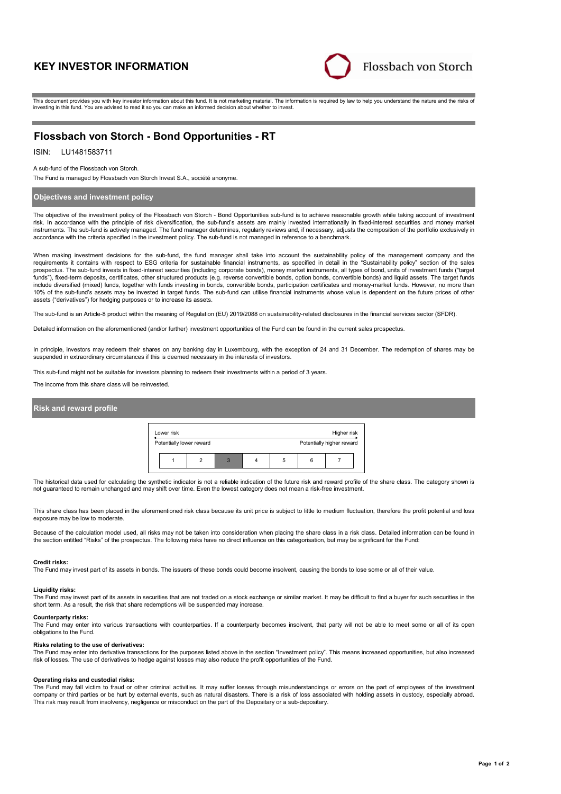# **KEY INVESTOR INFORMATION**



This document provides you with key investor information about this fund. It is not marketing material. The information is required by law to help you understand the nature and the risks of investing in this fund. You are advised to read it so you can make an informed decision about whether to invest.

## **Flossbach von Storch - Bond Opportunities - RT**

## ISIN: LU1481583711

A sub-fund of the Flossbach von Storch.

The Fund is managed by Flossbach von Storch Invest S.A., société anonyme.

## **Objectives and investment policy**

The objective of the investment policy of the Flossbach von Storch - Bond Opportunities sub-fund is to achieve reasonable growth while taking account of investment risk. In accordance with the principle of risk diversification, the sub-fund's assets are mainly invested internationally in fixed-interest securities and money market instruments. The sub-fund is actively managed. The fund manager determines, regularly reviews and, if necessary, adjusts the composition of the portfolio exclusively in accordance with the criteria specified in the investment policy. The sub-fund is not managed in reference to a benchmark.

When making investment decisions for the sub-fund, the fund manager shall take into account the sustainability policy of the management company and the requirements it contains with respect to ESG criteria for sustainable financial instruments, as specified in detail in the "Sustainability policy" section of the sales prospectus. The sub-fund invests in fixed-interest securities (including corporate bonds), money market instruments, all types of bond, units of investment funds ("target funds"), fixed-term deposits, certificates, other structured products (e.g. reverse convertible bonds, option bonds, convertible bonds) and liquid assets. The target funds include diversified (mixed) funds, together with funds investing in bonds, convertible bonds, participation certificates and money-market funds. However, no more than<br>10% of the sub-fund's assets may be invested in target assets ("derivatives") for hedging purposes or to increase its assets.

The sub-fund is an Article-8 product within the meaning of Regulation (EU) 2019/2088 on sustainability-related disclosures in the financial services sector (SFDR).

Detailed information on the aforementioned (and/or further) investment opportunities of the Fund can be found in the current sales prospectus.

In principle, investors may redeem their shares on any banking day in Luxembourg, with the exception of 24 and 31 December. The redemption of shares may be suspended in extraordinary circumstances if this is deemed necessary in the interests of investors.

This sub-fund might not be suitable for investors planning to redeem their investments within a period of 3 years.

The income from this share class will be reinvested.

## **Risk and reward profile**



The historical data used for calculating the synthetic indicator is not a reliable indication of the future risk and reward profile of the share class. The category shown is not guaranteed to remain unchanged and may shift over time. Even the lowest category does not mean a risk-free investment.

This share class has been placed in the aforementioned risk class because its unit price is subject to little to medium fluctuation, therefore the profit potential and loss exposure may be low to moderate.

Because of the calculation model used, all risks may not be taken into consideration when placing the share class in a risk class. Detailed information can be found in the section entitled "Risks" of the prospectus. The following risks have no direct influence on this categorisation, but may be significant for the Fund:

#### **Credit risks:**

The Fund may invest part of its assets in bonds. The issuers of these bonds could become insolvent, causing the bonds to lose some or all of their value.

## **Liquidity risks:**

The Fund may invest part of its assets in securities that are not traded on a stock exchange or similar market. It may be difficult to find a buyer for such securities in the short term. As a result, the risk that share redemptions will be suspended may increase.

#### **Counterparty risks:**

The Fund may enter into various transactions with counterparties. If a counterparty becomes insolvent, that party will not be able to meet some or all of its open obligations to the Fund.

#### **Risks relating to the use of derivatives:**

The Fund may enter into derivative transactions for the purposes listed above in the section "Investment policy". This means increased opportunities, but also increased risk of losses. The use of derivatives to hedge against losses may also reduce the profit opportunities of the Fund.

#### **Operating risks and custodial risks:**

The Fund may fall victim to fraud or other criminal activities. It may suffer losses through misunderstandings or errors on the part of employees of the investment company or third parties or be hurt by external events, such as natural disasters. There is a risk of loss associated with holding assets in custody, especially abroad. This risk may result from insolvency, negligence or misconduct on the part of the Depositary or a sub-depositary.